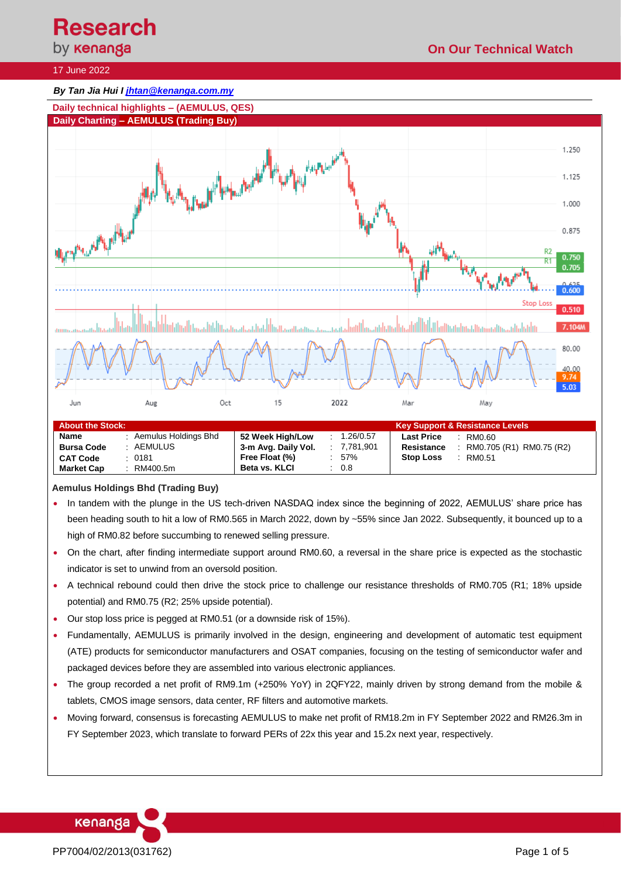**Research**<br>by **кепапда** 

**Stop Loss** : RM0.51

## 17 June 2022

## *By Tan Jia Hui I [jhtan@kenanga.com.my](mailto:jhtan@kenanga.com.my)*



#### **Aemulus Holdings Bhd (Trading Buy)**

**CAT Code** : 0181 **Market Cap** : RM400.5m

• In tandem with the plunge in the US tech-driven NASDAQ index since the beginning of 2022, AEMULUS' share price has been heading south to hit a low of RM0.565 in March 2022, down by ~55% since Jan 2022. Subsequently, it bounced up to a high of RM0.82 before succumbing to renewed selling pressure.

**Free Float (%)** : 57% **Beta vs. KLCI** : 0.8

- On the chart, after finding intermediate support around RM0.60, a reversal in the share price is expected as the stochastic indicator is set to unwind from an oversold position.
- A technical rebound could then drive the stock price to challenge our resistance thresholds of RM0.705 (R1; 18% upside potential) and RM0.75 (R2; 25% upside potential).
- Our stop loss price is pegged at RM0.51 (or a downside risk of 15%).
- Fundamentally, AEMULUS is primarily involved in the design, engineering and development of automatic test equipment (ATE) products for semiconductor manufacturers and OSAT companies, focusing on the testing of semiconductor wafer and packaged devices before they are assembled into various electronic appliances.
- The group recorded a net profit of RM9.1m (+250% YoY) in 2QFY22, mainly driven by strong demand from the mobile & tablets, CMOS image sensors, data center, RF filters and automotive markets.
- Moving forward, consensus is forecasting AEMULUS to make net profit of RM18.2m in FY September 2022 and RM26.3m in FY September 2023, which translate to forward PERs of 22x this year and 15.2x next year, respectively.

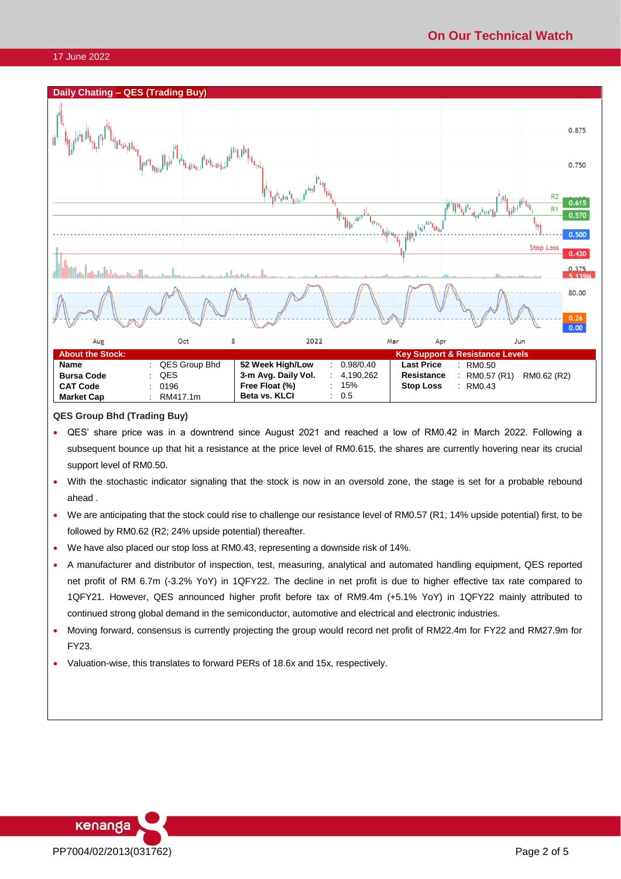

**QES Group Bhd (Trading Buy)**

- QES' share price was in a downtrend since August 2021 and reached a low of RM0.42 in March 2022. Following a subsequent bounce up that hit a resistance at the price level of RM0.615, the shares are currently hovering near its crucial support level of RM0.50.
- With the stochastic indicator signaling that the stock is now in an oversold zone, the stage is set for a probable rebound ahead .
- We are anticipating that the stock could rise to challenge our resistance level of RM0.57 (R1; 14% upside potential) first, to be followed by RM0.62 (R2; 24% upside potential) thereafter.
- We have also placed our stop loss at RM0.43, representing a downside risk of 14%.
- A manufacturer and distributor of inspection, test, measuring, analytical and automated handling equipment, QES reported net profit of RM 6.7m (-3.2% YoY) in 1QFY22. The decline in net profit is due to higher effective tax rate compared to 1QFY21. However, QES announced higher profit before tax of RM9.4m (+5.1% YoY) in 1QFY22 mainly attributed to continued strong global demand in the semiconductor, automotive and electrical and electronic industries.
- Moving forward, consensus is currently projecting the group would record net profit of RM22.4m for FY22 and RM27.9m for FY23.
- Valuation-wise, this translates to forward PERs of 18.6x and 15x, respectively.

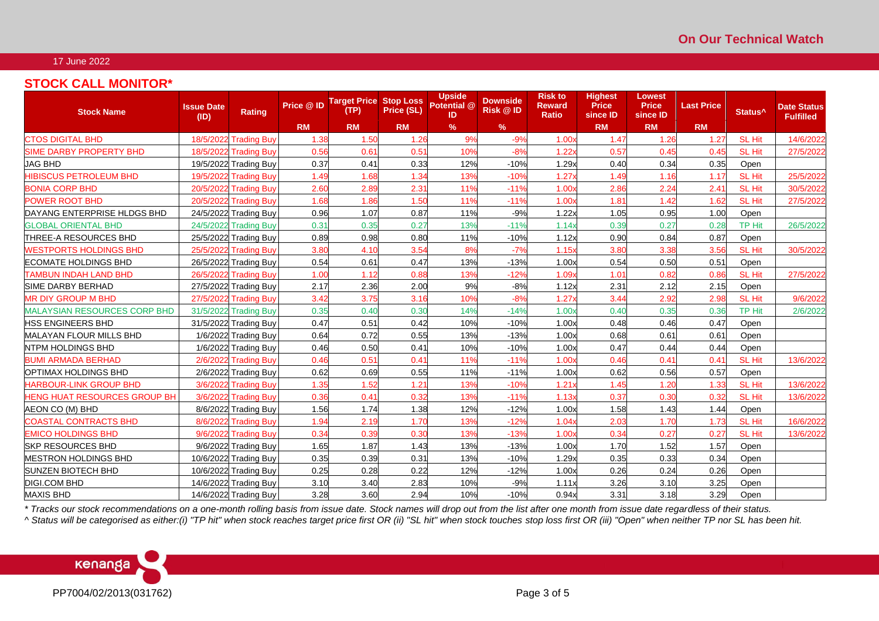## **STOCK CALL MONITOR\***

| <b>Stock Name</b>                   | <b>Issue Date</b><br>(1D) | Rating                | Price @ ID | <b>Target Price Stop Loss</b><br>(TP) | Price (SL) | <b>Upside</b><br>Potential @<br>ID | <b>Downside</b><br><b>Risk @ ID</b> | <b>Risk to</b><br><b>Reward</b><br>Ratio | <b>Highest</b><br><b>Price</b><br>since ID | <b>Lowest</b><br><b>Price</b><br>since ID | <b>Last Price</b> | Status <sup>^</sup> | <b>Date Status</b><br><b>Fulfilled</b> |
|-------------------------------------|---------------------------|-----------------------|------------|---------------------------------------|------------|------------------------------------|-------------------------------------|------------------------------------------|--------------------------------------------|-------------------------------------------|-------------------|---------------------|----------------------------------------|
|                                     |                           |                       | <b>RM</b>  | <b>RM</b>                             | <b>RM</b>  | $\%$                               | $\%$                                |                                          | <b>RM</b>                                  | <b>RM</b>                                 | <b>RM</b>         |                     |                                        |
| <b>CTOS DIGITAL BHD</b>             |                           | 18/5/2022 Trading Buy | 1.38       | 1.50                                  | 1.26       | 9%                                 | $-9%$                               | 1.00x                                    | 1.47                                       | 1.26                                      | 1.27              | <b>SL Hit</b>       | 14/6/2022                              |
| <b>SIME DARBY PROPERTY BHD</b>      |                           | 18/5/2022 Trading Buy | 0.56       | 0.61                                  | 0.51       | 10%                                | $-8%$                               | 1.22x                                    | 0.57                                       | 0.45                                      | 0.45              | <b>SL Hit</b>       | 27/5/2022                              |
| <b>JAG BHD</b>                      |                           | 19/5/2022 Trading Buy | 0.37       | 0.41                                  | 0.33       | 12%                                | $-10%$                              | 1.29x                                    | 0.40                                       | 0.34                                      | 0.35              | Open                |                                        |
| <b>HIBISCUS PETROLEUM BHD</b>       |                           | 19/5/2022 Trading Buy | 1.49       | 1.68                                  | 1.34       | 13%                                | $-10%$                              | 1.27x                                    | 1.49                                       | 1.16                                      | 1.17              | <b>SL Hit</b>       | 25/5/2022                              |
| <b>BONIA CORP BHD</b>               |                           | 20/5/2022 Trading Buy | 2.60       | 2.89                                  | 2.31       | 11%                                | $-11%$                              | 1.00x                                    | 2.86                                       | 2.24                                      | 2.41              | <b>SL Hit</b>       | 30/5/2022                              |
| <b>POWER ROOT BHD</b>               |                           | 20/5/2022 Trading Buy | 1.68       | 1.86                                  | 1.50       | 11%                                | $-11%$                              | 1.00x                                    | 1.81                                       | 1.42                                      | 1.62              | <b>SL Hit</b>       | 27/5/2022                              |
| DAYANG ENTERPRISE HLDGS BHD         |                           | 24/5/2022 Trading Buy | 0.96       | 1.07                                  | 0.87       | 11%                                | $-9%$                               | 1.22x                                    | 1.05                                       | 0.95                                      | 1.00              | Open                |                                        |
| <b>GLOBAL ORIENTAL BHD</b>          |                           | 24/5/2022 Trading Buy | 0.31       | 0.35                                  | 0.27       | 13%                                | $-11%$                              | 1.14x                                    | 0.39                                       | 0.27                                      | 0.28              | <b>TP Hit</b>       | 26/5/2022                              |
| ITHREE-A RESOURCES BHD              |                           | 25/5/2022 Trading Buy | 0.89       | 0.98                                  | 0.80       | 11%                                | $-10%$                              | 1.12x                                    | 0.90                                       | 0.84                                      | 0.87              | Open                |                                        |
| <b>WESTPORTS HOLDINGS BHD</b>       | 25/5/2022                 | <b>Trading Buv</b>    | 3.80       | 4.10                                  | 3.54       | 8%                                 | $-7%$                               | 1.15x                                    | 3.80                                       | 3.38                                      | 3.56              | <b>SL Hit</b>       | 30/5/2022                              |
| <b>ECOMATE HOLDINGS BHD</b>         |                           | 26/5/2022 Trading Buy | 0.54       | 0.61                                  | 0.47       | 13%                                | $-13%$                              | 1.00x                                    | 0.54                                       | 0.50                                      | 0.51              | Open                |                                        |
| <b>TAMBUN INDAH LAND BHD</b>        | 26/5/2022                 | <b>Trading Buy</b>    | 1.00       | 1.12                                  | 0.88       | 13%                                | $-12%$                              | 1.09x                                    | 1.01                                       | 0.82                                      | 0.86              | <b>SL Hit</b>       | 27/5/2022                              |
| SIME DARBY BERHAD                   |                           | 27/5/2022 Trading Buy | 2.17       | 2.36                                  | 2.00       | 9%                                 | $-8%$                               | 1.12x                                    | 2.31                                       | 2.12                                      | 2.15              | Open                |                                        |
| <b>MR DIY GROUP M BHD</b>           |                           | 27/5/2022 Trading Buy | 3.42       | 3.75                                  | 3.16       | 10%                                | $-8%$                               | 1.27x                                    | 3.44                                       | 2.92                                      | 2.98              | <b>SL Hit</b>       | 9/6/2022                               |
| <b>MALAYSIAN RESOURCES CORP BHD</b> |                           | 31/5/2022 Trading Buy | 0.35       | 0.40                                  | 0.30       | 14%                                | $-14%$                              | 1.00x                                    | 0.40                                       | 0.35                                      | 0.36              | <b>TP Hit</b>       | 2/6/2022                               |
| <b>HSS ENGINEERS BHD</b>            |                           | 31/5/2022 Trading Buy | 0.47       | 0.51                                  | 0.42       | 10%                                | $-10%$                              | 1.00x                                    | 0.48                                       | 0.46                                      | 0.47              | Open                |                                        |
| <b>MALAYAN FLOUR MILLS BHD</b>      |                           | 1/6/2022 Trading Buy  | 0.64       | 0.72                                  | 0.55       | 13%                                | $-13%$                              | 1.00x                                    | 0.68                                       | 0.61                                      | 0.61              | Open                |                                        |
| <b>NTPM HOLDINGS BHD</b>            |                           | 1/6/2022 Trading Buy  | 0.46       | 0.50                                  | 0.41       | 10%                                | $-10%$                              | 1.00x                                    | 0.47                                       | 0.44                                      | 0.44              | Open                |                                        |
| <b>BUMI ARMADA BERHAD</b>           | 2/6/2022                  | <b>Trading Buy</b>    | 0.46       | 0.51                                  | 0.41       | 11%                                | $-11%$                              | 1.00x                                    | 0.46                                       | 0.4                                       | 0.41              | <b>SL Hit</b>       | 13/6/2022                              |
| OPTIMAX HOLDINGS BHD                |                           | 2/6/2022 Trading Buy  | 0.62       | 0.69                                  | 0.55       | 11%                                | $-11%$                              | 1.00x                                    | 0.62                                       | 0.56                                      | 0.57              | Open                |                                        |
| <b>HARBOUR-LINK GROUP BHD</b>       |                           | 3/6/2022 Trading Buy  | 1.35       | 1.52                                  | 1.21       | 13%                                | $-10%$                              | 1.21x                                    | 1.45                                       | 1.20                                      | 1.33              | <b>SL Hit</b>       | 13/6/2022                              |
| <b>HENG HUAT RESOURCES GROUP BH</b> |                           | 3/6/2022 Trading Buy  | 0.36       | 0.41                                  | 0.32       | 13%                                | $-11%$                              | 1.13x                                    | 0.37                                       | 0.30                                      | 0.32              | <b>SL Hit</b>       | 13/6/2022                              |
| AEON CO (M) BHD                     |                           | 8/6/2022 Trading Buy  | 1.56       | 1.74                                  | 1.38       | 12%                                | $-12%$                              | 1.00x                                    | 1.58                                       | 1.43                                      | 1.44              | Open                |                                        |
| <b>COASTAL CONTRACTS BHD</b>        | 8/6/2022                  | <b>Trading Buy</b>    | 1.94       | 2.19                                  | 1.70       | 13%                                | $-12%$                              | 1.04x                                    | 2.03                                       | 1.70                                      | 1.73              | <b>SL Hit</b>       | 16/6/2022                              |
| <b>EMICO HOLDINGS BHD</b>           |                           | 9/6/2022 Trading Buy  | 0.34       | 0.39                                  | 0.30       | 13%                                | $-13%$                              | 1.00x                                    | 0.34                                       | 0.27                                      | 0.27              | <b>SL Hit</b>       | 13/6/2022                              |
| <b>SKP RESOURCES BHD</b>            |                           | 9/6/2022 Trading Buy  | 1.65       | 1.87                                  | 1.43       | 13%                                | $-13%$                              | 1.00x                                    | 1.70                                       | 1.52                                      | 1.57              | Open                |                                        |
| <b>MESTRON HOLDINGS BHD</b>         |                           | 10/6/2022 Trading Buy | 0.35       | 0.39                                  | 0.31       | 13%                                | $-10%$                              | 1.29x                                    | 0.35                                       | 0.33                                      | 0.34              | Open                |                                        |
| <b>SUNZEN BIOTECH BHD</b>           |                           | 10/6/2022 Trading Buy | 0.25       | 0.28                                  | 0.22       | 12%                                | $-12%$                              | 1.00x                                    | 0.26                                       | 0.24                                      | 0.26              | Open                |                                        |
| <b>DIGI.COM BHD</b>                 |                           | 14/6/2022 Trading Buy | 3.10       | 3.40                                  | 2.83       | 10%                                | $-9%$                               | 1.11x                                    | 3.26                                       | 3.10                                      | 3.25              | Open                |                                        |
| <b>MAXIS BHD</b>                    |                           | 14/6/2022 Trading Buy | 3.28       | 3.60                                  | 2.94       | 10%                                | $-10%$                              | 0.94x                                    | 3.31                                       | 3.18                                      | 3.29              | Open                |                                        |

*\* Tracks our stock recommendations on a one-month rolling basis from issue date. Stock names will drop out from the list after one month from issue date regardless of their status.*

*^ Status will be categorised as either:(i) "TP hit" when stock reaches target price first OR (ii) "SL hit" when stock touches stop loss first OR (iii) "Open" when neither TP nor SL has been hit.*

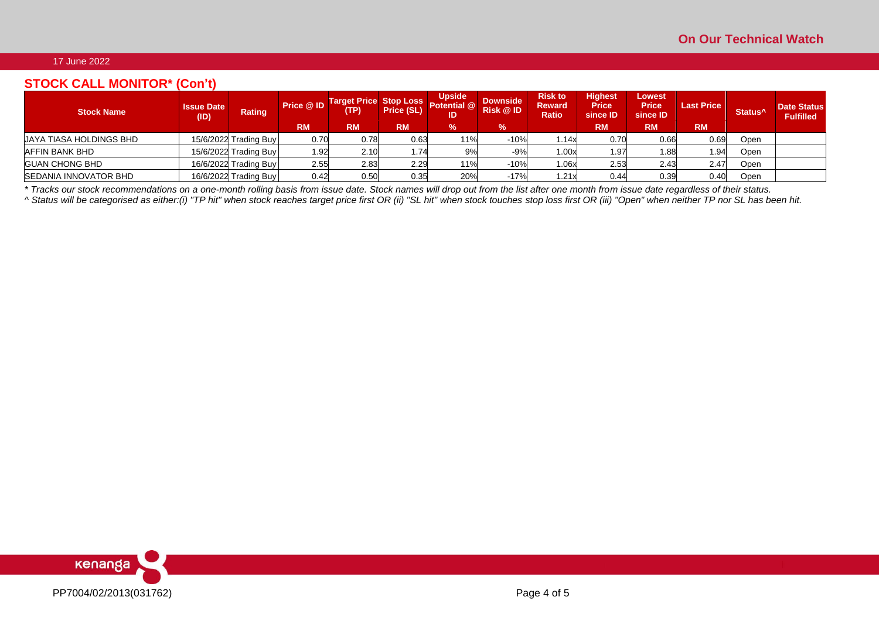# **STOCK CALL MONITOR\* (Con't)**

| <b>Stock Name</b>              | <b>Issue Date</b><br>(ID) | Rating                | Price @ ID<br><b>RM</b> | Target Price Stop Loss<br>(TP)<br><b>RM</b> | <b>Price (SL)</b><br><b>RM</b> | <b>Upside</b><br>Potential @<br>ID<br>$\%$ | <b>Downside</b><br><b>Risk @ID</b><br>$\frac{9}{6}$ | <b>Risk to</b><br><b>Reward</b><br><b>Ratio</b> | <b>Highest</b><br><b>Price</b><br>since ID<br><b>RM</b> | Lowest<br><b>Price</b><br>since ID<br><b>RM</b> | <b>Last Price</b><br><b>RM</b> | Status <sup>^</sup> | <b>Date Status</b><br><b>Fulfilled</b> |
|--------------------------------|---------------------------|-----------------------|-------------------------|---------------------------------------------|--------------------------------|--------------------------------------------|-----------------------------------------------------|-------------------------------------------------|---------------------------------------------------------|-------------------------------------------------|--------------------------------|---------------------|----------------------------------------|
| <b>UAYA TIASA HOLDINGS BHD</b> |                           | 15/6/2022 Trading Buy | 0.70                    | 0.78                                        | 0.63                           | 11%                                        | $-10%$                                              | 1.14x                                           | 0.70                                                    | 0.66                                            | 0.69                           | Open                |                                        |
| <b>AFFIN BANK BHD</b>          |                           | 15/6/2022 Trading Buy | 1.92                    | 2.10                                        | 1.74                           | 9%                                         | $-9%$                                               | 1.00x                                           | 1.97                                                    | 1.88                                            | 1.94                           | Open                |                                        |
| <b>GUAN CHONG BHD</b>          |                           | 16/6/2022 Trading Buy | 2.55                    | 2.83                                        | 2.29                           | 11%                                        | $-10%$                                              | 1.06x                                           | 2.53                                                    | 2.43                                            | 2.47                           | Open                |                                        |
| <b>SEDANIA INNOVATOR BHD</b>   |                           | 16/6/2022 Trading Buy | 0.42                    | 0.50                                        | 0.35                           | 20%                                        | $-17%$                                              | 1.21x                                           | 0.44                                                    | 0.39                                            | 0.40                           | Open                |                                        |

*\* Tracks our stock recommendations on a one-month rolling basis from issue date. Stock names will drop out from the list after one month from issue date regardless of their status.*

*^ Status will be categorised as either:(i) "TP hit" when stock reaches target price first OR (ii) "SL hit" when stock touches stop loss first OR (iii) "Open" when neither TP nor SL has been hit.*